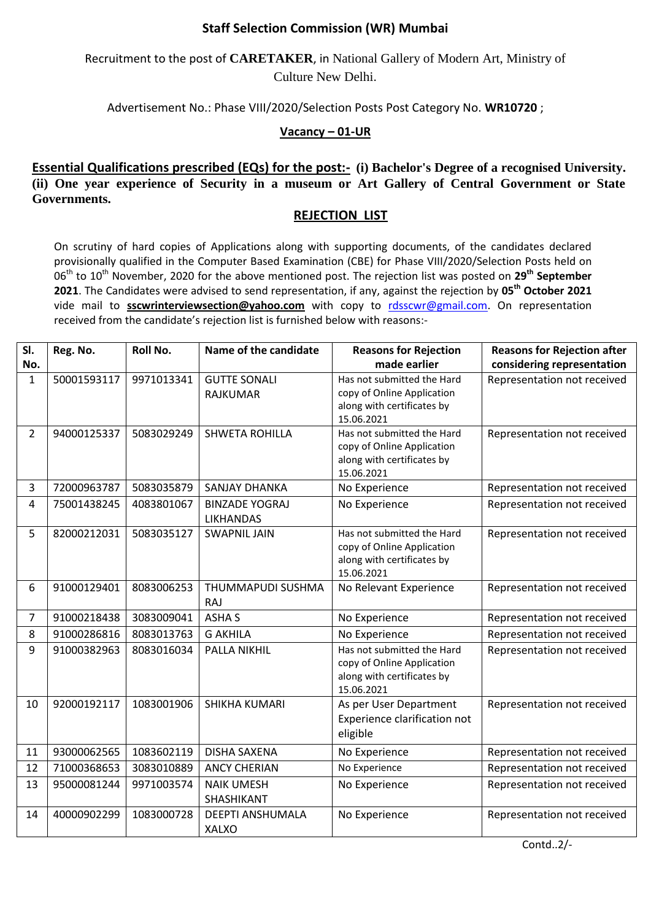## **Staff Selection Commission (WR) Mumbai**

Recruitment to the post of **CARETAKER**, in National Gallery of Modern Art, Ministry of Culture New Delhi.

Advertisement No.: Phase VIII/2020/Selection Posts Post Category No. **WR10720** ;

## **Vacancy – 01-UR**

**Essential Qualifications prescribed (EQs) for the post:- (i) Bachelor's Degree of a recognised University. (ii) One year experience of Security in a museum or Art Gallery of Central Government or State Governments.**

## **REJECTION LIST**

On scrutiny of hard copies of Applications along with supporting documents, of the candidates declared provisionally qualified in the Computer Based Examination (CBE) for Phase VIII/2020/Selection Posts held on 06th to 10th November, 2020 for the above mentioned post. The rejection list was posted on **29 th September 2021**. The Candidates were advised to send representation, if any, against the rejection by **05th October 2021** vide mail to **sscwrinterviewsection@yahoo.com** with copy to [rdsscwr@gmail.com.](mailto:rdsscwr@gmail.com) On representation received from the candidate's rejection list is furnished below with reasons:-

| SI.            | Reg. No.    | Roll No.   | Name of the candidate                     | <b>Reasons for Rejection</b>                                                                         | <b>Reasons for Rejection after</b> |
|----------------|-------------|------------|-------------------------------------------|------------------------------------------------------------------------------------------------------|------------------------------------|
| No.            |             |            |                                           | made earlier                                                                                         | considering representation         |
| $\mathbf{1}$   | 50001593117 | 9971013341 | <b>GUTTE SONALI</b><br><b>RAJKUMAR</b>    | Has not submitted the Hard<br>copy of Online Application<br>along with certificates by<br>15.06.2021 | Representation not received        |
| $\overline{2}$ | 94000125337 | 5083029249 | <b>SHWETA ROHILLA</b>                     | Has not submitted the Hard<br>copy of Online Application<br>along with certificates by<br>15.06.2021 | Representation not received        |
| 3              | 72000963787 | 5083035879 | <b>SANJAY DHANKA</b>                      | No Experience                                                                                        | Representation not received        |
| 4              | 75001438245 | 4083801067 | <b>BINZADE YOGRAJ</b><br><b>LIKHANDAS</b> | No Experience                                                                                        | Representation not received        |
| 5              | 82000212031 | 5083035127 | <b>SWAPNIL JAIN</b>                       | Has not submitted the Hard<br>copy of Online Application<br>along with certificates by<br>15.06.2021 | Representation not received        |
| 6              | 91000129401 | 8083006253 | THUMMAPUDI SUSHMA<br>RAJ                  | No Relevant Experience                                                                               | Representation not received        |
| 7              | 91000218438 | 3083009041 | <b>ASHA S</b>                             | No Experience                                                                                        | Representation not received        |
| 8              | 91000286816 | 8083013763 | <b>G AKHILA</b>                           | No Experience                                                                                        | Representation not received        |
| 9              | 91000382963 | 8083016034 | PALLA NIKHIL                              | Has not submitted the Hard<br>copy of Online Application<br>along with certificates by<br>15.06.2021 | Representation not received        |
| 10             | 92000192117 | 1083001906 | SHIKHA KUMARI                             | As per User Department<br>Experience clarification not<br>eligible                                   | Representation not received        |
| 11             | 93000062565 | 1083602119 | <b>DISHA SAXENA</b>                       | No Experience                                                                                        | Representation not received        |
| 12             | 71000368653 | 3083010889 | <b>ANCY CHERIAN</b>                       | No Experience                                                                                        | Representation not received        |
| 13             | 95000081244 | 9971003574 | <b>NAIK UMESH</b><br>SHASHIKANT           | No Experience                                                                                        | Representation not received        |
| 14             | 40000902299 | 1083000728 | <b>DEEPTI ANSHUMALA</b><br><b>XALXO</b>   | No Experience                                                                                        | Representation not received        |

Contd..2/-